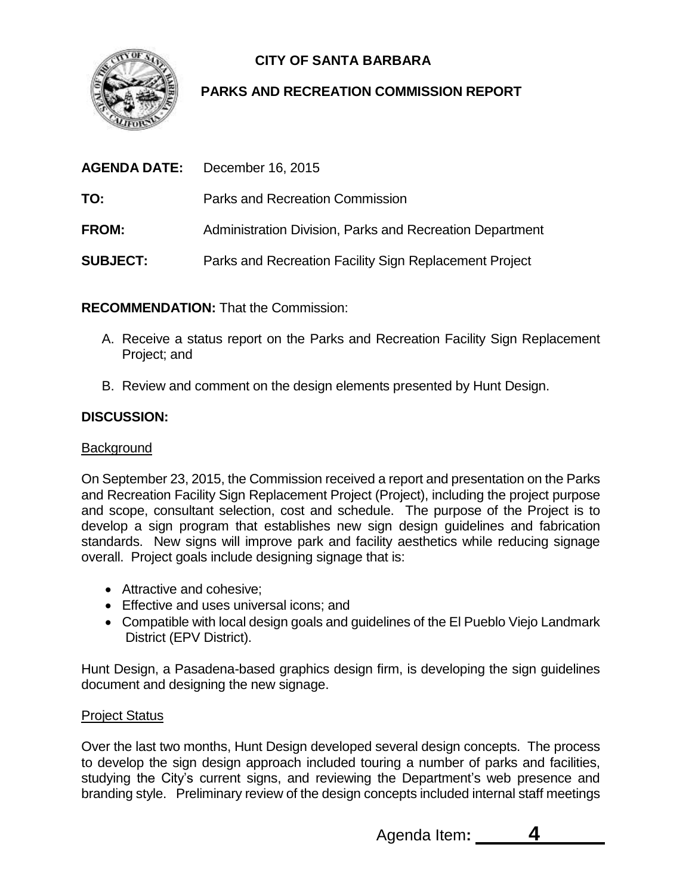

# **CITY OF SANTA BARBARA**

## **PARKS AND RECREATION COMMISSION REPORT**

|                 | <b>AGENDA DATE:</b> December 16, 2015                    |
|-----------------|----------------------------------------------------------|
| TO:             | Parks and Recreation Commission                          |
| <b>FROM:</b>    | Administration Division, Parks and Recreation Department |
| <b>SUBJECT:</b> | Parks and Recreation Facility Sign Replacement Project   |

**RECOMMENDATION:** That the Commission:

- A. Receive a status report on the Parks and Recreation Facility Sign Replacement Project; and
- B. Review and comment on the design elements presented by Hunt Design.

### **DISCUSSION:**

#### **Background**

On September 23, 2015, the Commission received a report and presentation on the Parks and Recreation Facility Sign Replacement Project (Project), including the project purpose and scope, consultant selection, cost and schedule. The purpose of the Project is to develop a sign program that establishes new sign design guidelines and fabrication standards. New signs will improve park and facility aesthetics while reducing signage overall. Project goals include designing signage that is:

- Attractive and cohesive;
- Effective and uses universal icons; and
- Compatible with local design goals and guidelines of the El Pueblo Viejo Landmark District (EPV District).

Hunt Design, a Pasadena-based graphics design firm, is developing the sign guidelines document and designing the new signage.

#### Project Status

Over the last two months, Hunt Design developed several design concepts. The process to develop the sign design approach included touring a number of parks and facilities, studying the City's current signs, and reviewing the Department's web presence and branding style. Preliminary review of the design concepts included internal staff meetings

Agenda Item**: 4**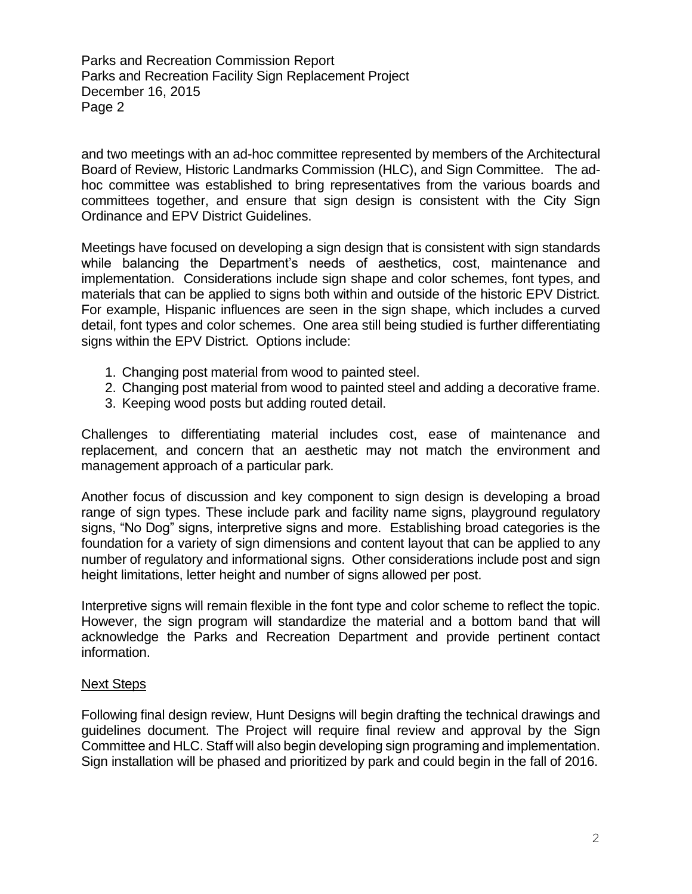Parks and Recreation Commission Report Parks and Recreation Facility Sign Replacement Project December 16, 2015 Page 2

and two meetings with an ad-hoc committee represented by members of the Architectural Board of Review, Historic Landmarks Commission (HLC), and Sign Committee. The adhoc committee was established to bring representatives from the various boards and committees together, and ensure that sign design is consistent with the City Sign Ordinance and EPV District Guidelines.

Meetings have focused on developing a sign design that is consistent with sign standards while balancing the Department's needs of aesthetics, cost, maintenance and implementation. Considerations include sign shape and color schemes, font types, and materials that can be applied to signs both within and outside of the historic EPV District. For example, Hispanic influences are seen in the sign shape, which includes a curved detail, font types and color schemes. One area still being studied is further differentiating signs within the EPV District. Options include:

- 1. Changing post material from wood to painted steel.
- 2. Changing post material from wood to painted steel and adding a decorative frame.
- 3. Keeping wood posts but adding routed detail.

Challenges to differentiating material includes cost, ease of maintenance and replacement, and concern that an aesthetic may not match the environment and management approach of a particular park.

Another focus of discussion and key component to sign design is developing a broad range of sign types. These include park and facility name signs, playground regulatory signs, "No Dog" signs, interpretive signs and more. Establishing broad categories is the foundation for a variety of sign dimensions and content layout that can be applied to any number of regulatory and informational signs. Other considerations include post and sign height limitations, letter height and number of signs allowed per post.

Interpretive signs will remain flexible in the font type and color scheme to reflect the topic. However, the sign program will standardize the material and a bottom band that will acknowledge the Parks and Recreation Department and provide pertinent contact information.

#### Next Steps

Following final design review, Hunt Designs will begin drafting the technical drawings and guidelines document. The Project will require final review and approval by the Sign Committee and HLC. Staff will also begin developing sign programing and implementation. Sign installation will be phased and prioritized by park and could begin in the fall of 2016.